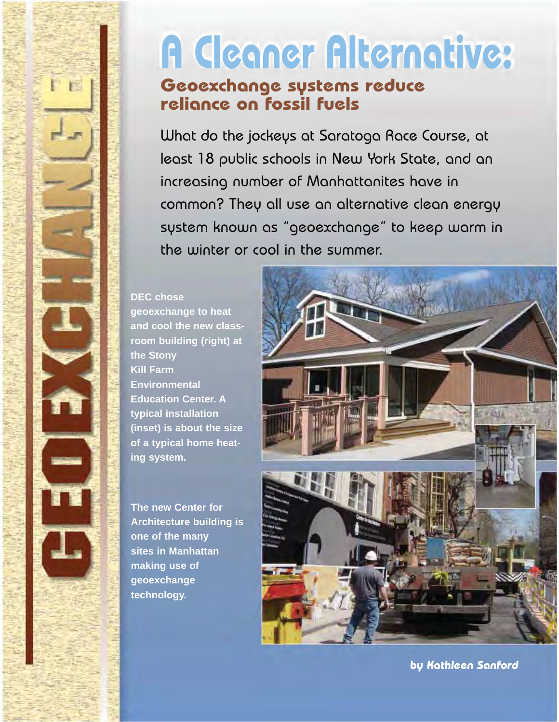# **A Cleaner Alternative:**

# **Geoexchange systems reduce reliance on fossil fuels**

increasing number of Manhattanites have in What do the jockeys at Saratoga Race Course, at least 18 public schools in New York State, and an common? They all use an alternative clean energy system known as "geoexchange" to keep warm in the winter or cool in the summer.

#### **DEC chose**

**geoexchange to heat and cool the new classroom building (right) at the Stony Kill Farm Environmental Education Center. A typical installation (inset) is about the size of a typical home heating system.** 

**The new Center for Architecture building is one of the many sites in Manhattan making use of geoexchange technology.** 



**by Kathleen Sanford**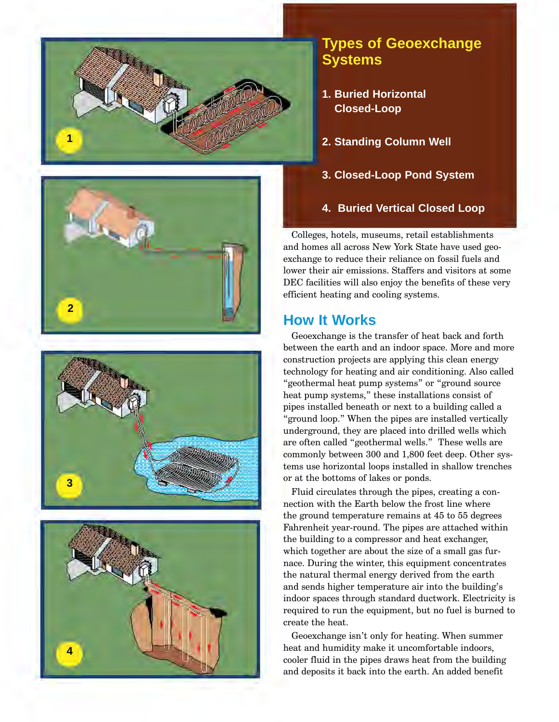







## **Types of Geoexchange Systems**

- **1. Buried Horizontal Closed-Loop**
- **2. Standing Column Well**
- **3. Closed-Loop Pond System**
- **4. Buried Vertical Closed Loop**

Colleges, hotels, museums, retail establishments and homes all across New York State have used geo exchange to reduce their reliance on fossil fuels and lower their air emissions. Staffers and visitors at some DEC facilities will also enjoy the benefits of these very efficient heating and cooling systems.

## **How It Works**

Geoexchange is the transfer of heat back and forth between the earth and an indoor space. More and more construction projects are applying this clean energy technology for heating and air conditioning. Also called "geothermal heat pump systems" or "ground source heat pump systems," these installations consist of pipes installed beneath or next to a building called a "ground loop." When the pipes are installed vertically underground, they are placed into drilled wells which are often called "geothermal wells." These wells are commonly between 300 and 1,800 feet deep. Other sys tems use horizontal loops installed in shallow trenches or at the bottoms of lakes or ponds.

Fluid circulates through the pipes, creating a con nection with the Earth below the frost line where the ground temperature remains at 45 to 55 degrees Fahrenheit year-round. The pipes are attached within the building to a compressor and heat exchanger, which together are about the size of a small gas fur nace. During the winter, this equipment concentrates the natural thermal energy derived from the earth and sends higher temperature air into the building's indoor spaces through standard ductwork. Electricity is required to run the equipment, but no fuel is burned to create the heat.

Geoexchange isn't only for heating. When summer heat and humidity make it uncomfortable indoors, cooler fluid in the pipes draws heat from the building and deposits it back into the earth. An added benefit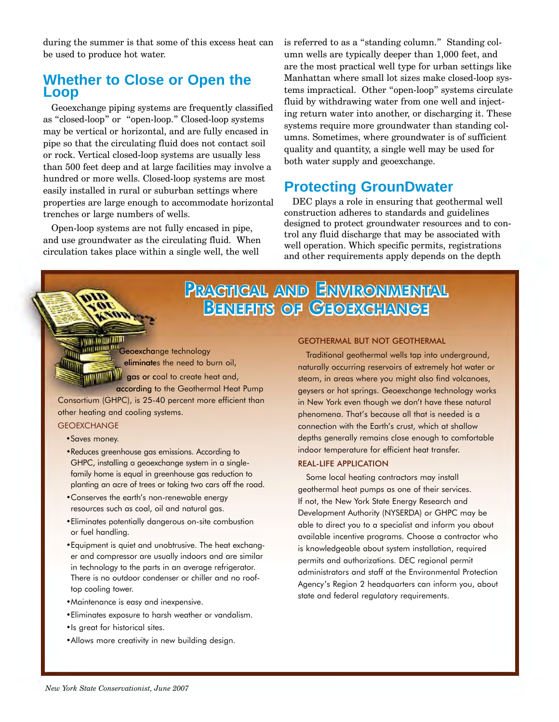during the summer is that some of this excess heat can be used to produce hot water.

## **Whether to Close or Open the Loop**

Geoexchange piping systems are frequently classified as "closed-loop" or "open-loop." Closed-loop systems may be vertical or horizontal, and are fully encased in pipe so that the circulating fluid does not contact soil or rock. Vertical closed-loop systems are usually less than 500 feet deep and at large facilities may involve a hundred or more wells. Closed-loop systems are most easily installed in rural or suburban settings where properties are large enough to accommodate horizontal trenches or large numbers of wells.

Open-loop systems are not fully encased in pipe, and use groundwater as the circulating fluid. When circulation takes place within a single well, the well

is referred to as a "standing column." Standing column wells are typically deeper than 1,000 feet, and are the most practical well type for urban settings like Manhattan where small lot sizes make closed-loop systems impractical. Other "open-loop" systems circulate fluid by withdrawing water from one well and injecting return water into another, or discharging it. These systems require more groundwater than standing columns. Sometimes, where groundwater is of sufficient quality and quantity, a single well may be used for both water supply and geoexchange.

## **Protecting GrounDwater**

DEC plays a role in ensuring that geothermal well construction adheres to standards and guidelines designed to protect groundwater resources and to control any fluid discharge that may be associated with well operation. Which specific permits, registrations and other requirements apply depends on the depth

# PRACTICAL AND ENVIRONMENTAL BENEFITS OF GEOEXCHANGE

Geoexchange technology gas or coal to create heat and, eliminates the need to burn oil,

**according to the Geothermal Heat Pump** Consortium (GHPC), is 25-40 percent more efficient than other heating and cooling systems.

**GEOEXCHANGE** 

ī

**THE REAL PROPERTY** 

É

ī

Ę

- Saves money.
- Reduces greenhouse gas emissions. According to GHPC, installing a geoexchange system in a singlefamily home is equal in greenhouse gas reduction to planting an acre of trees or taking two cars off the road.
- . Conserves the earth's non-renewable energy resources such as coal, oil and natural gas.
- Eliminates potentially dangerous on-site combustion or fuel handling.
- Equipment is quiet and unobtrusive. The heat exchanger and compressor are usually indoors and are similar in technology to the parts in an average refrigerator. There is no outdoor condenser or chiller and no rooftop cooling tower.
- Maintenance is easy and inexpensive.
- Eliminates exposure to harsh weather or vandalism.
- Is great for historical sites.
- . Allows more creativity in new building design.

#### GEOTHERMAL BUT NOT GEOTHERMAL

Traditional geothermal wells tap into underground, naturally occurring reservoirs of extremely hot water or steam, in areas where you might also find volcanoes, geysers or hot springs. Geoexchange technology works in New York even though we don't have these natural phenomena. That's because all that is needed is a connection with the Earth's crust, which at shallow depths generally remains close enough to comfortable indoor temperature for efficient heat transfer.

#### REAL-LIFE APPLICATION

Some local heating contractors may install geothermal heat pumps as one of their services. If not, the New York State Energy Research and Development Authority (NYSERDA) or GHPC may be able to direct you to a specialist and inform you about available incentive programs. Choose a contractor who is knowledgeable about system installation, required permits and authorizations. DEC regional permit administrators and staff at the Environmental Protection Agency's Region 2 headquarters can inform you, about state and federal regulatory requirements.